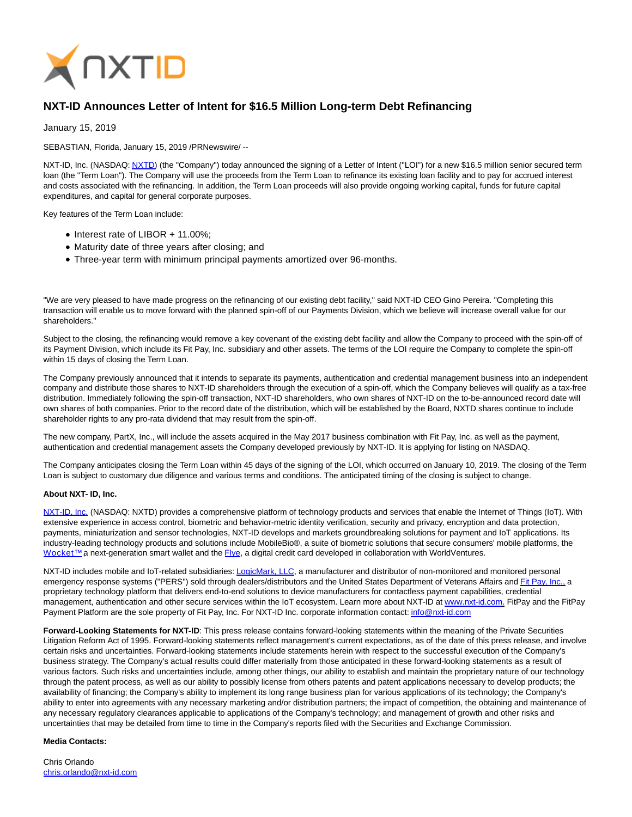

## **NXT-ID Announces Letter of Intent for \$16.5 Million Long-term Debt Refinancing**

January 15, 2019

SEBASTIAN, Florida, January 15, 2019 /PRNewswire/ --

NXT-ID, Inc. (NASDAQ[: NXTD\)](https://finance.yahoo.com/q?s=nxtd) (the "Company") today announced the signing of a Letter of Intent ("LOI") for a new \$16.5 million senior secured term loan (the "Term Loan"). The Company will use the proceeds from the Term Loan to refinance its existing loan facility and to pay for accrued interest and costs associated with the refinancing. In addition, the Term Loan proceeds will also provide ongoing working capital, funds for future capital expenditures, and capital for general corporate purposes.

Key features of the Term Loan include:

- Interest rate of LIBOR + 11.00%;
- Maturity date of three years after closing; and
- Three-year term with minimum principal payments amortized over 96-months.

"We are very pleased to have made progress on the refinancing of our existing debt facility," said NXT-ID CEO Gino Pereira. "Completing this transaction will enable us to move forward with the planned spin-off of our Payments Division, which we believe will increase overall value for our shareholders."

Subject to the closing, the refinancing would remove a key covenant of the existing debt facility and allow the Company to proceed with the spin-off of its Payment Division, which include its Fit Pay, Inc. subsidiary and other assets. The terms of the LOI require the Company to complete the spin-off within 15 days of closing the Term Loan.

The Company previously announced that it intends to separate its payments, authentication and credential management business into an independent company and distribute those shares to NXT-ID shareholders through the execution of a spin-off, which the Company believes will qualify as a tax-free distribution. Immediately following the spin-off transaction, NXT-ID shareholders, who own shares of NXT-ID on the to-be-announced record date will own shares of both companies. Prior to the record date of the distribution, which will be established by the Board, NXTD shares continue to include shareholder rights to any pro-rata dividend that may result from the spin-off.

The new company, PartX, Inc., will include the assets acquired in the May 2017 business combination with Fit Pay, Inc. as well as the payment, authentication and credential management assets the Company developed previously by NXT-ID. It is applying for listing on NASDAQ.

The Company anticipates closing the Term Loan within 45 days of the signing of the LOI, which occurred on January 10, 2019. The closing of the Term Loan is subject to customary due diligence and various terms and conditions. The anticipated timing of the closing is subject to change.

## **About NXT- ID, Inc.**

[NXT-ID, Inc. \(](http://www.nxt-id.com/)NASDAQ: NXTD) provides a comprehensive platform of technology products and services that enable the Internet of Things (IoT). With extensive experience in access control, biometric and behavior-metric identity verification, security and privacy, encryption and data protection, payments, miniaturization and sensor technologies, NXT-ID develops and markets groundbreaking solutions for payment and IoT applications. Its industry-leading technology products and solutions include MobileBio®, a suite of biometric solutions that secure consumers' mobile platforms, the Wocket™ a next-generation smart wallet and the [Flye,](https://www.flye.com/) a digital credit card developed in collaboration with WorldVentures.

NXT-ID includes mobile and IoT-related subsidiaries[: LogicMark, LLC,](https://www.logicmark.com/) a manufacturer and distributor of non-monitored and monitored personal emergency response systems ("PERS") sold through dealers/distributors and the United States Department of Veterans Affairs an[d Fit Pay, Inc., a](http://www.fit-pay.com/) proprietary technology platform that delivers end-to-end solutions to device manufacturers for contactless payment capabilities, credential management, authentication and other secure services within the IoT ecosystem. Learn more about NXT-ID at [www.nxt-id.com.](http://www.nxt-id.com/) FitPay and the FitPay Payment Platform are the sole property of Fit Pay, Inc. For NXT-ID Inc. corporate information contact: *info@nxt-id.com* 

**Forward-Looking Statements for NXT-ID**: This press release contains forward-looking statements within the meaning of the Private Securities Litigation Reform Act of 1995. Forward-looking statements reflect management's current expectations, as of the date of this press release, and involve certain risks and uncertainties. Forward-looking statements include statements herein with respect to the successful execution of the Company's business strategy. The Company's actual results could differ materially from those anticipated in these forward-looking statements as a result of various factors. Such risks and uncertainties include, among other things, our ability to establish and maintain the proprietary nature of our technology through the patent process, as well as our ability to possibly license from others patents and patent applications necessary to develop products; the availability of financing; the Company's ability to implement its long range business plan for various applications of its technology; the Company's ability to enter into agreements with any necessary marketing and/or distribution partners; the impact of competition, the obtaining and maintenance of any necessary regulatory clearances applicable to applications of the Company's technology; and management of growth and other risks and uncertainties that may be detailed from time to time in the Company's reports filed with the Securities and Exchange Commission.

## **Media Contacts:**

Chris Orlando [chris.orlando@nxt-id.com](mailto:chris.orlando@nxt-id.com)